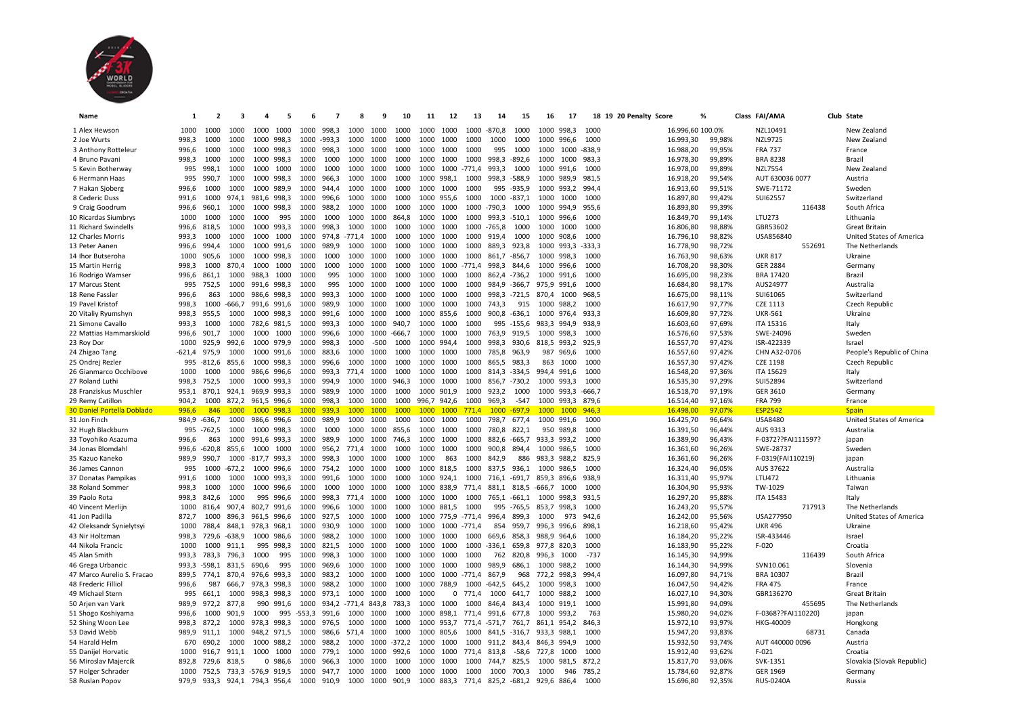

| Name                                  | 1             | $\overline{\mathbf{2}}$ |                                         | 4     | 5              | 6            | 7              | 8            | 9            | 10            | 11          | 12          | 13           | 14                                                | 15       | 16          | 17         |               | 18 19 20 Penalty Score |                        | %                | Class FAI/AMA                       |        | Club State                 |
|---------------------------------------|---------------|-------------------------|-----------------------------------------|-------|----------------|--------------|----------------|--------------|--------------|---------------|-------------|-------------|--------------|---------------------------------------------------|----------|-------------|------------|---------------|------------------------|------------------------|------------------|-------------------------------------|--------|----------------------------|
| 1 Alex Hewson                         | 1000          | 1000                    | 1000                                    | 1000  | 1000           | 1000         | 998.3          | 1000         | 1000         | 1000          | 1000        | 1000        | 1000         | $-870,8$                                          | 1000     | 1000 998.3  |            | 1000          |                        | 16.996,60 100.0%       |                  | NZL10491                            |        | New Zealand                |
| 2 Joe Wurts                           | 998,3         | 1000                    | 1000                                    |       | 1000 998,3     |              | 1000 -993,3    | 1000         | 1000         | 1000          | 1000        | 1000        | 1000         | 1000                                              | 1000     | 1000 996,6  |            | 1000          |                        | 16.993,30              | 99,98%           | <b>NZL9725</b>                      |        | New Zealand                |
| 3 Anthony Rotteleur                   | 996,6         | 1000                    | 1000                                    | 1000  | 998,3          | 1000         | 998.3          | 1000         | 1000         | 1000          | 1000        | 1000        | 1000         | 995                                               | 1000     | 1000        | 1000       | $-838,9$      |                        | 16.988,20              | 99,95%           | <b>FRA 737</b>                      |        | France                     |
| 4 Bruno Pavani                        | 998,3         | 1000                    | 1000                                    |       | 1000 998,3     | 1000         | 1000           | 1000         | 1000         | 1000          | 1000        | 1000        | 1000         | 998,3                                             | $-892,6$ | 1000        | 1000       | 983,3         |                        | 16.978,30              | 99,89%           | <b>BRA 8238</b>                     |        | Brazil                     |
| 5 Kevin Botherway                     | 995           | 998,1                   | 1000                                    | 1000  | 1000           | 1000         | 1000           | 1000         | 1000         | 1000          | 1000        | 1000        | $-771,4$     | 993,3                                             | 1000     | 1000        | 991,6      | 1000          |                        | 16.978,00              | 99,89%           | <b>NZL7554</b>                      |        | New Zealand                |
| 6 Hermann Haas                        | 995           | 990,7                   | 1000                                    |       | 1000 998,3     | 1000         | 966,3          | 1000         | 1000         | 1000          | 1000        | 998,1       | 1000         | 998,3                                             | $-588,9$ | 1000 989,9  |            | 981,5         |                        | 16.918,20              | 99,54%           | AUT 630036 0077                     |        | Austria                    |
| 7 Hakan Sjoberg                       | 996,6         | 1000                    | 1000                                    | 1000  | 989,9          | 1000         | 944.4          | 1000         | 1000         | 1000          | 1000        | 1000        | 1000         | 995                                               | $-935,9$ | 1000 993,2  |            | 994,4         |                        | 16.913,60              | 99,51%           | SWE-71172                           |        | Sweden                     |
| 8 Cederic Duss                        | 991,6         | 1000                    | 974.1                                   |       | 981.6 998.3    | 1000         | 996,6          | 1000         | 1000         | 1000          | 1000        | 955.6       | 1000         | 1000                                              | $-837.1$ | 1000        | 1000       | 1000          |                        | 16.897,80              | 99,42%           | SUI62557                            |        | Switzerland                |
| 9 Craig Goodrum                       | 996,6         | 960,1                   | 1000                                    |       | 1000 998,3     | 1000         | 988,2          | 1000         | 1000         | 1000          | 1000        | 1000        | 1000         | -790,3                                            | 1000     | 1000 994,9  |            | 955.6         |                        | 16.893,80              | 99,39%           |                                     | 116438 | South Africa               |
| 10 Ricardas Siumbrys                  | 1000          | 1000                    | 1000                                    | 1000  | 995            | 1000         | 1000           | 1000         | 1000         | 864,8         | 1000        | 1000        | 1000         | 993,3                                             | $-510,1$ | 1000 996,6  |            | 1000          |                        | 16.849,70              | 99,14%           | <b>LTU273</b>                       |        | Lithuania                  |
| 11 Richard Swindells                  | 996,6         | 818,5                   | 1000                                    |       | 1000 993,3     | 1000         | 998,3          | 1000         | 1000         | 1000          | 1000        | 1000        | 1000         | $-765,8$                                          | 1000     | 1000        | 1000       | 1000          |                        | 16.806,80              | 98,88%           | GBR53602                            |        | <b>Great Britain</b>       |
| 12 Charles Morris                     | 993,3         | 1000                    | 1000                                    | 1000  | 1000           | 1000         | 974,8          | $-771,4$     | 1000         | 1000          | 1000        | 1000        | 1000         | 919,4                                             | 1000     | 1000 908,6  |            | 1000          |                        | 16.796,10              | 98,82%           | USA856840                           |        | United States of America   |
|                                       |               |                         |                                         |       | 1000 991,6     |              | 989.9          |              |              | 1000          | 1000        | 1000        |              |                                                   | 923.8    | 1000 993.3  |            | $-333.3$      |                        | 16.778,90              | 98,72%           |                                     | 552691 |                            |
| 13 Peter Aanen<br>14 Ihor Butseroha   | 996,6<br>1000 | 994,4<br>905.6          | 1000<br>1000                            |       | 1000 998.3     | 1000<br>1000 | 1000           | 1000<br>1000 | 1000<br>1000 | 1000          | 1000        | 1000        | 1000<br>1000 | 889.3<br>861.7                                    | $-856.7$ | 1000 998.3  |            | 1000          |                        |                        | 98,63%           | <b>UKR 817</b>                      |        | The Netherlands<br>Ukraine |
|                                       |               |                         |                                         |       |                |              |                |              |              |               |             |             |              |                                                   |          |             |            |               |                        | 16.763,90              |                  |                                     |        |                            |
| 15 Martin Herrig                      | 998,3         | 1000                    | 870,4                                   | 1000  | 1000           | 1000         | 1000           | 1000         | 1000         | 1000          | 1000        | 1000        | $-771.4$     | 998,3                                             | 844,6    | 1000 996,6  |            | 1000          |                        | 16.708,20              | 98,30%           | <b>GER 2884</b>                     |        | Germany                    |
| 16 Rodrigo Wamser                     | 996,6         | 861,1                   | 1000                                    | 988,3 | 1000           | 1000         | 995            | 1000         | 1000         | 1000          | 1000        | 1000        | 1000         | 862.4 -736.2                                      |          | 1000 991,6  |            | 1000          |                        | 16.695,00              | 98,23%           | <b>BRA 17420</b>                    |        | Brazil                     |
| 17 Marcus Stent                       | 995           | 752,5                   | 1000                                    |       | 991,6 998,3    | 1000         | 995            | 1000         | 1000         | 1000          | 1000        | 1000        | 1000         | 984,9 -366,7                                      |          | 975,9 991,6 |            | 1000          |                        | 16.684,80              | 98,17%           | AUS24977                            |        | Australia                  |
| 18 Rene Fassler                       | 996,6         | 863                     | 1000                                    |       | 986,6 998,3    | 1000         | 993,3          | 1000         | 1000         | 1000          | 1000        | 1000        | 1000         | 998,3 -721,5                                      |          | 870,4 1000  |            | 968.5         |                        | 16.675,00              | 98,11%           | SUI61065                            |        | Switzerland                |
| 19 Pavel Kristof                      | 998,3         | 1000                    | $-666,7$                                |       | 991,6 991,6    | 1000         | 989,9          | 1000         | 1000         | 1000          | 1000        | 1000        | 1000         | 743,3                                             | 915      | 1000 988,2  |            | 1000          |                        | 16.617,90              | 97,77%           | <b>CZE 1113</b>                     |        | Czech Republic             |
| 20 Vitaliy Ryumshyn                   | 998,3         | 955.5                   | 1000                                    |       | 1000 998,3     | 1000         | 991.6          | 1000         | 1000         | 1000          | 1000        | 855,6       | 1000         | 900.8 -636.1                                      |          | 1000 976.4  |            | 933.3         |                        | 16.609,80              | 97,72%           | <b>UKR-561</b>                      |        | Ukraine                    |
| 21 Simone Cavallo                     | 993,3         | 1000                    | 1000                                    |       | 782,6 981,5    | 1000         | 993,3          | 1000         | 1000         | 940,7         | 1000        | 1000        | 1000         | 995                                               | $-155,6$ | 983,3 994,9 |            | 938,9         |                        | 16.603,60              | 97,69%           | ITA 15316                           |        | Italy                      |
| 22 Mattias Hammarskiold               | 996,6         | 901,7                   | 1000                                    | 1000  | 1000           | 1000         | 996,6          | 1000         | 1000         | $-666,7$      | 1000        | 1000        | 1000         | 763,9                                             | 919,5    | 1000 998,3  |            | 1000          |                        | 16.576,60              | 97,53%           | SWE-24096                           |        | Sweden                     |
| 23 Roy Dor                            | 1000          | 925,9                   | 992,6                                   |       | 1000 979,9     | 1000         | 998,3          | 1000         | $-500$       | 1000          | 1000        | 994,4       | 1000         | 998,3                                             | 930,6    | 818,5 993,2 |            | 925,9         |                        | 16.557,70              | 97,42%           | ISR-422339                          |        | Israel                     |
| 24 Zhigao Tang                        | $-621,4$      | 975,9                   | 1000                                    |       | 1000 991,6     | 1000         | 883,6          | 1000         | 1000         | 1000          | 1000        | 1000        | 1000         | 785,8                                             | 963,9    | 987         | 969,6      | 1000          |                        | 16.557,60              | 97,42%           | CHN A32-0706                        |        | People's Republic of China |
| 25 Ondrej Rezler                      |               | 995 -812,6              | 855,6                                   |       | 1000 998,3     | 1000         | 996,6          | 1000         | 1000         | 1000          | 1000        | 1000        | 1000         | 865,5                                             | 983,3    | 863         | 1000       | 1000          |                        | 16.557,30              | 97,42%           | <b>CZE 1198</b>                     |        | Czech Republic             |
| 26 Gianmarco Occhibove                | 1000          | 1000                    | 1000                                    |       | 986,6 996,6    | 1000         | 993,3          | 771,4        | 1000         | 1000          | 1000        | 1000        | 1000         | 814,3                                             | $-334,5$ | 994,4       | 991,6      | 1000          |                        | 16.548,20              | 97,36%           | <b>ITA 15629</b>                    |        | Italy                      |
| 27 Roland Luthi                       | 998,3         | 752,5                   | 1000                                    |       | 1000 993,3     | 1000         | 994,9          | 1000         | 1000         | 946,3         | 1000        | 1000        | 1000         | 856,7                                             | $-730,2$ | 1000 993,3  |            | 1000          |                        | 16.535,30              | 97,29%           | <b>SUI52894</b>                     |        | Switzerland                |
| 28 Franziskus Muschler                | 953,1         | 870,1                   | 924,1                                   |       | 969,9 993,3    | 1000         | 989,9          | 1000         | 1000         | 1000          | 1000        | 901,9       | 1000         | 923,2                                             | 1000     | 1000 993,3  |            | $-666,7$      |                        | 16.518,70              | 97,19%           | GER 3610                            |        | Germany                    |
|                                       |               |                         |                                         |       |                |              |                |              |              |               |             |             |              |                                                   |          |             | 1000 993.3 | 879.6         |                        |                        |                  | <b>FRA 799</b>                      |        |                            |
| 29 Remy Catillon                      | 904,2         | 1000                    | 872.2                                   |       | 961,5 996,6    | 1000         | 998.3          | 1000         | 1000         | 1000          | 996,7 942,6 |             | 1000         | 969.3                                             | $-547$   |             |            |               |                        | 16.514,40              | 97,16%           |                                     |        | France                     |
| <b>30 Daniel Portella Doblado</b>     | 996,6         | -846                    | 1000                                    |       | 1000 998.3     | 1000         | 939.3          | 1000         | 1000         | 1000          | 1000        | 1000        | 771.4        | 1000                                              | $-697.9$ | 1000        | $-1000$    | 946.3         |                        | 16.498,00              | 97,07%           | <b>ESP2542</b>                      |        | <b>Spain</b>               |
| 31 Jon Finch                          | 984.9 -636.7  |                         | 1000                                    |       | 986.6 996.6    | 1000         | 989.9          | 1000         | 1000         | 1000          | 1000        | 1000        | 1000         | 798.7                                             | 677.4    | 1000 991.6  |            | 1000          |                        | 16.425,70              | 96.64%           | <b>USA8480</b>                      |        | United States of America   |
| 32 Hugh Blackburn                     |               | 995 - 762,5             | 1000                                    |       | 1000 998,3     | 1000         | 1000           | 1000         | 1000         | 855,6         | 1000        | 1000        | 1000         | 780,8                                             | 822,1    |             | 950 989,8  | 1000          |                        | 16.391,50              | 96,44%           | AUS 9313                            |        | Australia                  |
| 33 Toyohiko Asazuma                   | 996,6         | 863                     | 1000                                    |       | 991,6 993,3    | 1000         | 989,9          | 1000         | 1000         | 746,3         | 1000        | 1000        | 1000         | 882,6                                             | $-665,7$ | 933,3 993,2 |            | 1000          |                        | 16.389,90              | 96,43%           | F-0372??FAI111597?                  |        | japan                      |
| 34 Jonas Blomdah                      | 996,6 -620,8  |                         | 855,6                                   | 1000  | 1000           | 1000         | 956,2          | 771.4        | 1000         | 1000          | 1000        | 1000        | 1000         | 900.8                                             | 894.4    | 1000 986,5  |            | 1000          |                        | 16.361,60              | 96,26%           | SWE-28737                           |        | Sweden                     |
| 35 Kazuo Kaneko                       | 989.9         | 990.7                   | 1000                                    |       | $-817.7$ 993.3 | 1000         | 998.3          | 1000         | 1000         | 1000          | 1000        | 863         | 1000         | 842.9                                             | 886      | 983.3 988.2 |            | 825.9         |                        | 16.361,60              | 96.26%           | F-0319(FAI110219)                   |        | japan                      |
| 36 James Cannon                       | 995           | 1000                    | $-672,2$                                |       | 1000 996,6     | 1000         | 754,2          | 1000         | 1000         | 1000          | 1000 818,5  |             | 1000         | 837,5 936,1                                       |          | 1000 986,5  |            | 1000          |                        | 16.324,40              | 96,05%           | AUS 37622                           |        | Australia                  |
| 37 Donatas Pampikas                   | 991,6         | 1000                    | 1000                                    |       | 1000 993,3     | 1000         | 991.6          | 1000         | 1000         | 1000          | 1000        | 924.1       | 1000         | 716,1                                             | $-691.7$ | 859.3 896.6 |            | 938.9         |                        | 16.311,40              | 95,97%           | <b>LTU472</b>                       |        | Lithuania                  |
| 38 Roland Sommer                      | 998,3         | 1000                    | 1000                                    |       | 1000 996,6     | 1000         | 1000           | 1000         | 1000         | 1000          | 1000 838,9  |             | 771,4        | 881,1 818,5                                       |          | -666,7      | 1000       | 1000          |                        | 16.304,90              | 95,93%           | TW-1029                             |        | Taiwan                     |
| 39 Paolo Rota                         | 998,3         | 842,6                   | 1000                                    |       | 995 996,6      | 1000         | 998,3          | 771,4        | 1000         | 1000          | 1000        | 1000        | 1000         | 765,1                                             | $-661,1$ | 1000        | 998,3      | 931,5         |                        | 16.297,20              | 95,88%           | <b>ITA 15483</b>                    |        | Italy                      |
| 40 Vincent Merlijn                    | 1000          | 816,4                   | 907,4                                   |       | 802,7 991,6    | 1000         | 996,6          | 1000         | 1000         | 1000          | 1000 881,5  |             | 1000         | 995                                               | $-765,5$ | 853,7 998,3 |            | 1000          |                        | 16.243,20              | 95,57%           |                                     | 717913 | The Netherlands            |
| 41 Jon Padilla                        | 872,7         | 1000                    | 896,3                                   |       | 961,5 996,6    | 1000         | 927,5          | 1000         | 1000         | 1000          | 1000        | 775,9       | -771,4       | 996,4                                             | 899,3    | 1000        | 973        | 942,6         |                        | 16.242,00              | 95,56%           | USA277950                           |        | United States of America   |
| 42 Oleksandr Synielytsy               | 1000          | 788,4                   | 848,1                                   |       | 978,3 968,1    | 1000         | 930.9          | 1000         | 1000         | 1000          | 1000        | 1000 -771.4 |              | 854                                               | 959,7    | 996,3 996,6 |            | 898,1         |                        | 16.218,60              | 95,42%           | <b>UKR 496</b>                      |        | Ukraine                    |
| 43 Nir Holtzman                       | 998,3         | 729,6                   | $-638,9$                                | 1000  | 986,6          | 1000         | 988,2          | 1000         | 1000         | 1000          | 1000        | 1000        | 1000         | 669,6                                             | 858,3    | 988,9 964,6 |            | 1000          |                        | 16.184,20              | 95,22%           | ISR-433446                          |        | Israel                     |
| 44 Nikola Francic                     | 1000          | 1000                    | 911,1                                   |       | 995 998,3      | 1000         | 821,5          | 1000         | 1000         | 1000          | 1000        | 1000        | 1000         | $-336,1$                                          | 659,8    | 977,8 820,3 |            | 1000          |                        | 16.183,90              | 95,22%           | $F-020$                             |        | Croatia                    |
| 45 Alan Smith                         | 993,3         | 783,3                   | 796,3                                   | 1000  | 995            | 1000         | 998,3          | 1000         | 1000         | 1000          | 1000        | 1000        | 1000         | 762                                               | 820,8    | 996,3       | 1000       | $-737$        |                        | 16.145,30              | 94,99%           |                                     | 116439 | South Africa               |
| 46 Grega Urbancic                     | 993,3         | -598,1                  | 831,5                                   | 690,6 | 995            | 1000         | 969,6          | 1000         | 1000         | 1000          | 1000        | 1000        | 1000         | 989,9                                             | 686,1    | 1000 988,2  |            | 1000          |                        | 16.144,30              | 94,99%           | SVN10.061                           |        | Slovenia                   |
| 47 Marco Aurelio S. Fracao            | 899,5         | 774.1                   | 870,4                                   |       | 976,6 993,3    | 1000         | 983.2          | 1000         | 1000         | 1000          | 1000        | 1000        | $-771.4$     | 867.9                                             | 968      | 772,2 998,3 |            | 994.4         |                        | 16.097,80              | 94,71%           | BRA 10307                           |        | Brazil                     |
| 48 Frederic Filliol                   | 996,6         | 987                     | 666.7                                   | 978.3 | 998.3          | 1000         | 988.2          | 1000         | 1000         | 1000          | 1000        | 788.9       | 1000         | $-642.5$                                          | 645.2    | 1000 998.3  |            | 1000          |                        | 16.047,50              | 94,42%           | <b>FRA 475</b>                      |        | France                     |
| 49 Michael Stern                      | 995           | 661,1                   | 1000                                    | 998,3 | 998,3          | 1000         | 973,1          | 1000         | 1000         | 1000          | 1000        | 0           | 771,4        | 1000                                              | 641,7    | 1000        | 988,2      | 1000          |                        | 16.027,10              | 94,30%           | GBR136270                           |        | <b>Great Britain</b>       |
| 50 Arjen van Vark                     | 989,9         | 972,2                   | 877.8                                   | 990   | 991,6          | 1000         | 934,2          | $-771,4$     | 843,8        | 783,3         | 1000        | 1000        | 1000         | 846,4                                             | 843,4    | 1000 919,1  |            | 1000          |                        | 15.991,80              | 94,09%           |                                     | 455695 | The Netherlands            |
| 51 Shogo Koshiyama                    | 996,6         | 1000                    | 901,9                                   | 1000  | 995            | $-553,3$     | 991,6          | 1000         | 1000         | 1000          | 1000        |             | 898,1 771,4  | 991,6                                             | 677,8    | 1000 993,2  |            | 763           |                        | 15.980,20              | 94,02%           | F-0368??FAI110220)                  |        | japan                      |
| 52 Shing Woon Lee                     | 998,3         | 872,2                   | 1000                                    |       | 978,3 998,3    | 1000         | 976,5          | 1000         | 1000         | 1000          | 1000 953,7  |             |              | 771,4 -571,7                                      | 761.7    | 861,1 954,2 |            | 846,3         |                        | 15.972,10              | 93,97%           | HKG-40009                           |        | Hongkong                   |
| 53 David Webb                         | 989.9         | 911.1                   | 1000                                    |       | 948,2 971,5    | 1000         | 986.6          | 571.4        | 1000         | 1000          | 1000        | 805.6       | 1000         | 841.5                                             | $-316.7$ | 933.3 988.1 |            | 1000          |                        | 15.947,20              | 93.83%           |                                     | 68731  | Canada                     |
| 54 Harald Helm                        | 670           | 690.2                   | 1000                                    |       | 1000 988.2     | 1000         | 988.2          | 1000         | 1000         | $-372.2$      | 1000        | 1000        | 1000         | 911.2                                             | 843.4    | 846.3 994.9 |            | 1000          |                        | 15.932,50              | 93.74%           | AUT 440000 0096                     |        | Austria                    |
| 55 Danijel Horvatic                   | 1000          | 916,7                   | 911,1                                   | 1000  | 1000           | 1000         | 779,1          | 1000         | 1000         | 992,6         | 1000        | 1000        |              | 771,4 813,8                                       | -58,6    | 727,8       | 1000       | 1000          |                        | 15.912,40              | 93,62%           | $F-021$                             |        | Croatia                    |
| 56 Miroslav Majercik                  | 892,8         | 729,6                   | 818,5                                   |       | 0 986,6        | 1000         | 966,3          | 1000         | 1000         | 1000          | 1000        | 1000        | 1000         | 744.7                                             | 825,5    | 1000        | 981.5      | 872,2         |                        | 15.817,70              | 93,06%           | SVK-1351                            |        | Slovakia (Slovak Republic) |
| 57 Holger Schrader<br>58 Ruslan Popov | 1000<br>979.9 | 752,5<br>933.3          | 733,3 -576,9 919,5<br>924,1 794,3 956,4 |       |                | 1000<br>1000 | 947.7<br>910.9 | 1000<br>1000 | 1000<br>1000 | 1000<br>901,9 | 1000        | 1000        | 1000         | 1000<br>1000 883,3 771,4 825,2 -681,2 929,6 886,4 | 700,3    | 1000        | 946        | 785,2<br>1000 |                        | 15.784,60<br>15.696,80 | 92,87%<br>92.35% | <b>GER 1969</b><br><b>RUS-0240A</b> |        | Germany<br>Russia          |